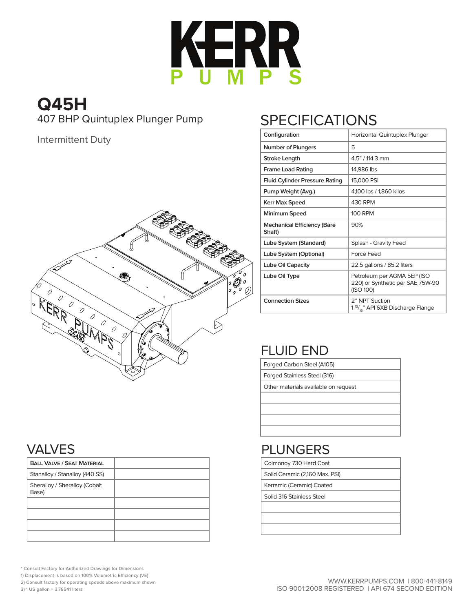

## **Q45H** 407 BHP Quintuplex Plunger Pump

Intermittent Duty



# SPECIFICATIONS

| Configuration                                | Horizontal Quintuplex Plunger                                                |  |  |  |  |  |  |  |
|----------------------------------------------|------------------------------------------------------------------------------|--|--|--|--|--|--|--|
| <b>Number of Plungers</b>                    | 5                                                                            |  |  |  |  |  |  |  |
| <b>Stroke Length</b>                         | 4.5" / 114.3 mm                                                              |  |  |  |  |  |  |  |
| <b>Frame Load Rating</b>                     | 14,986 lbs                                                                   |  |  |  |  |  |  |  |
| <b>Fluid Cylinder Pressure Rating</b>        | 15,000 PSI                                                                   |  |  |  |  |  |  |  |
| Pump Weight (Avg.)                           | 4,100 lbs / 1,860 kilos                                                      |  |  |  |  |  |  |  |
| Kerr Max Speed                               | 430 RPM                                                                      |  |  |  |  |  |  |  |
| Minimum Speed                                | <b>100 RPM</b>                                                               |  |  |  |  |  |  |  |
| <b>Mechanical Efficiency (Bare</b><br>Shaft) | 90%                                                                          |  |  |  |  |  |  |  |
| Lube System (Standard)                       | Splash - Gravity Feed                                                        |  |  |  |  |  |  |  |
| Lube System (Optional)                       | Force Feed                                                                   |  |  |  |  |  |  |  |
| Lube Oil Capacity                            | 22.5 gallons / 85.2 liters                                                   |  |  |  |  |  |  |  |
| Lube Oil Type                                | Petroleum per AGMA 5EP (ISO<br>220) or Synthetic per SAE 75W-90<br>(ISO 100) |  |  |  |  |  |  |  |
| <b>Connection Sizes</b>                      | 2" NPT Suction<br>1 <sup>13</sup> / <sub>4</sub> " API 6XB Discharge Flange  |  |  |  |  |  |  |  |

## FLUID END

Forged Carbon Steel (A105)

Forged Stainless Steel (316)

Other materials available on request

### PLUNGERS

Colmonoy 730 Hard Coat

Solid Ceramic (2,160 Max. PSI)

Kerramic (Ceramic) Coated

Solid 316 Stainless Steel

#### VALVES

| <b>BALL VALVE / SEAT MATERIAL</b>      |  |
|----------------------------------------|--|
| Stanalloy / Stanalloy (440 SS)         |  |
| Sheralloy / Sheralloy (Cobalt<br>Base) |  |
|                                        |  |
|                                        |  |
|                                        |  |
|                                        |  |

\* Consult Factory for Authorized Drawings for Dimensions

1) Displacement is based on 100% Volumetric Efficiency (VE)

2) Consult factory for operating speeds above maximum shown

3) 1 US gallon = 3.78541 liters